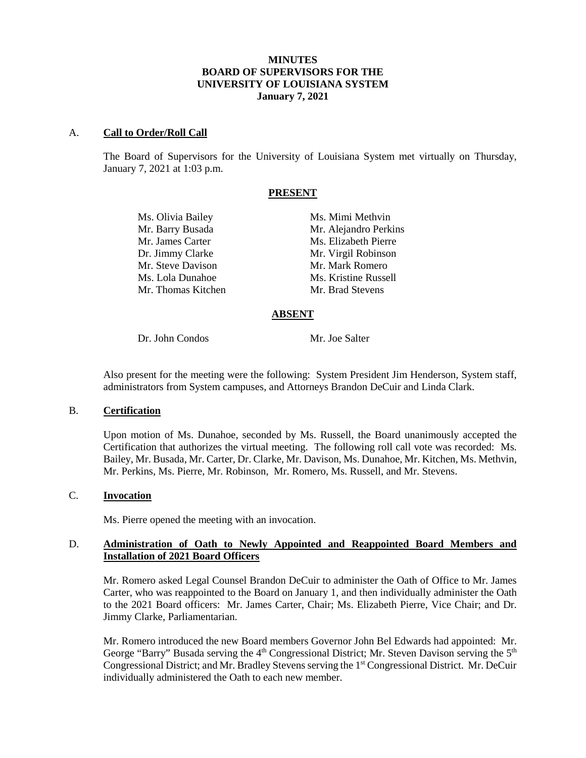# **MINUTES BOARD OF SUPERVISORS FOR THE UNIVERSITY OF LOUISIANA SYSTEM January 7, 2021**

#### A. **Call to Order/Roll Call**

The Board of Supervisors for the University of Louisiana System met virtually on Thursday, January 7, 2021 at 1:03 p.m.

# **PRESENT**

| Ms. Olivia Bailey  | Ms. Mimi Methvin      |
|--------------------|-----------------------|
| Mr. Barry Busada   | Mr. Alejandro Perkins |
| Mr. James Carter   | Ms. Elizabeth Pierre  |
| Dr. Jimmy Clarke   | Mr. Virgil Robinson   |
| Mr. Steve Davison  | Mr. Mark Romero       |
| Ms. Lola Dunahoe   | Ms. Kristine Russell  |
| Mr. Thomas Kitchen | Mr. Brad Stevens      |
|                    |                       |

#### **ABSENT**

Dr. John Condos Mr. Joe Salter

Also present for the meeting were the following: System President Jim Henderson, System staff, administrators from System campuses, and Attorneys Brandon DeCuir and Linda Clark.

### B. **Certification**

Upon motion of Ms. Dunahoe, seconded by Ms. Russell, the Board unanimously accepted the Certification that authorizes the virtual meeting. The following roll call vote was recorded: Ms. Bailey, Mr. Busada, Mr. Carter, Dr. Clarke, Mr. Davison, Ms. Dunahoe, Mr. Kitchen, Ms. Methvin, Mr. Perkins, Ms. Pierre, Mr. Robinson, Mr. Romero, Ms. Russell, and Mr. Stevens.

# C. **Invocation**

Ms. Pierre opened the meeting with an invocation.

# D. **Administration of Oath to Newly Appointed and Reappointed Board Members and Installation of 2021 Board Officers**

Mr. Romero asked Legal Counsel Brandon DeCuir to administer the Oath of Office to Mr. James Carter, who was reappointed to the Board on January 1, and then individually administer the Oath to the 2021 Board officers: Mr. James Carter, Chair; Ms. Elizabeth Pierre, Vice Chair; and Dr. Jimmy Clarke, Parliamentarian.

Mr. Romero introduced the new Board members Governor John Bel Edwards had appointed: Mr. George "Barry" Busada serving the 4<sup>th</sup> Congressional District; Mr. Steven Davison serving the 5<sup>th</sup> Congressional District; and Mr. Bradley Stevens serving the 1<sup>st</sup> Congressional District. Mr. DeCuir individually administered the Oath to each new member.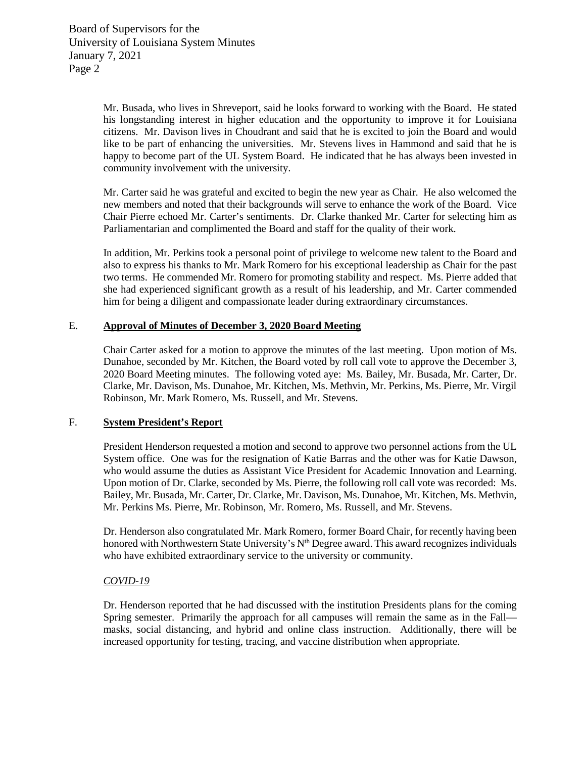Mr. Busada, who lives in Shreveport, said he looks forward to working with the Board. He stated his longstanding interest in higher education and the opportunity to improve it for Louisiana citizens. Mr. Davison lives in Choudrant and said that he is excited to join the Board and would like to be part of enhancing the universities. Mr. Stevens lives in Hammond and said that he is happy to become part of the UL System Board. He indicated that he has always been invested in community involvement with the university.

Mr. Carter said he was grateful and excited to begin the new year as Chair. He also welcomed the new members and noted that their backgrounds will serve to enhance the work of the Board. Vice Chair Pierre echoed Mr. Carter's sentiments. Dr. Clarke thanked Mr. Carter for selecting him as Parliamentarian and complimented the Board and staff for the quality of their work.

In addition, Mr. Perkins took a personal point of privilege to welcome new talent to the Board and also to express his thanks to Mr. Mark Romero for his exceptional leadership as Chair for the past two terms. He commended Mr. Romero for promoting stability and respect. Ms. Pierre added that she had experienced significant growth as a result of his leadership, and Mr. Carter commended him for being a diligent and compassionate leader during extraordinary circumstances.

#### E. **Approval of Minutes of December 3, 2020 Board Meeting**

Chair Carter asked for a motion to approve the minutes of the last meeting. Upon motion of Ms. Dunahoe, seconded by Mr. Kitchen, the Board voted by roll call vote to approve the December 3, 2020 Board Meeting minutes. The following voted aye: Ms. Bailey, Mr. Busada, Mr. Carter, Dr. Clarke, Mr. Davison, Ms. Dunahoe, Mr. Kitchen, Ms. Methvin, Mr. Perkins, Ms. Pierre, Mr. Virgil Robinson, Mr. Mark Romero, Ms. Russell, and Mr. Stevens.

# F. **System President's Report**

President Henderson requested a motion and second to approve two personnel actions from the UL System office. One was for the resignation of Katie Barras and the other was for Katie Dawson, who would assume the duties as Assistant Vice President for Academic Innovation and Learning. Upon motion of Dr. Clarke, seconded by Ms. Pierre, the following roll call vote was recorded: Ms. Bailey, Mr. Busada, Mr. Carter, Dr. Clarke, Mr. Davison, Ms. Dunahoe, Mr. Kitchen, Ms. Methvin, Mr. Perkins Ms. Pierre, Mr. Robinson, Mr. Romero, Ms. Russell, and Mr. Stevens.

Dr. Henderson also congratulated Mr. Mark Romero, former Board Chair, for recently having been honored with Northwestern State University's N<sup>th</sup> Degree award. This award recognizes individuals who have exhibited extraordinary service to the university or community.

# *COVID-19*

Dr. Henderson reported that he had discussed with the institution Presidents plans for the coming Spring semester. Primarily the approach for all campuses will remain the same as in the Fall masks, social distancing, and hybrid and online class instruction. Additionally, there will be increased opportunity for testing, tracing, and vaccine distribution when appropriate.